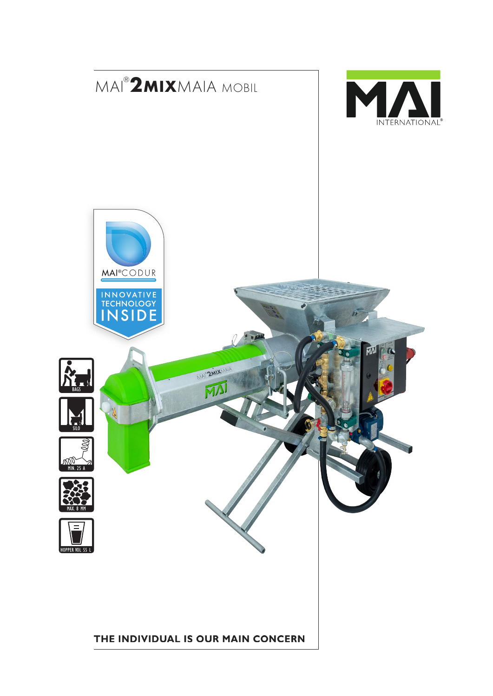